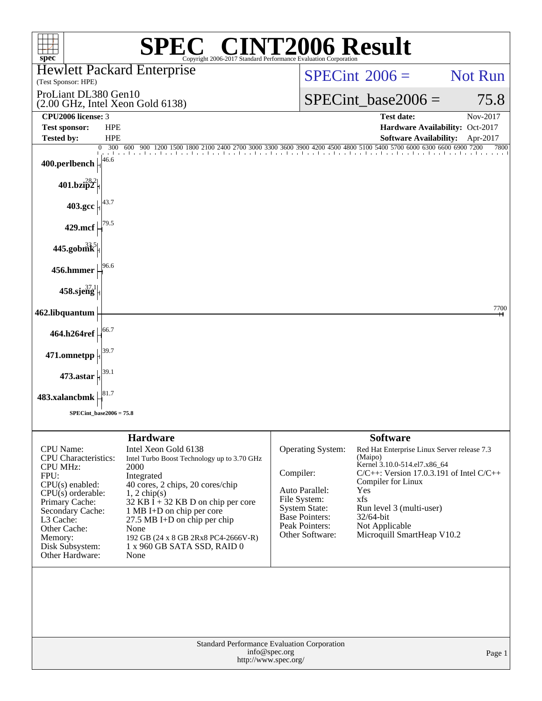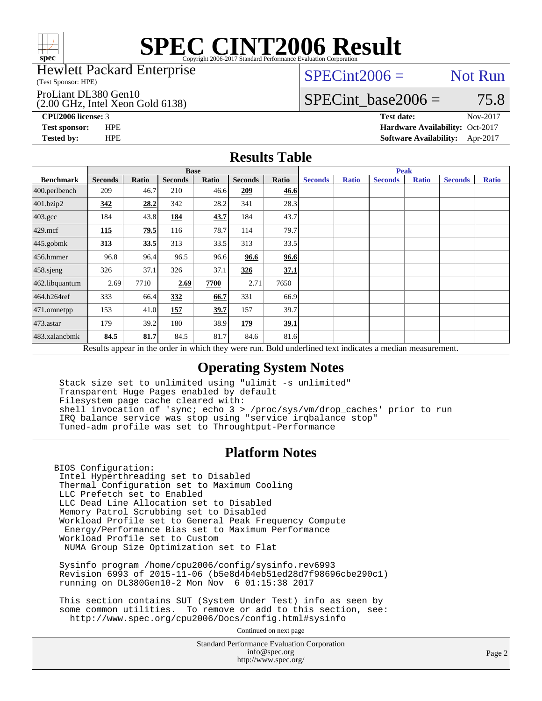

### Hewlett Packard Enterprise

(Test Sponsor: HPE)

### ProLiant DL380 Gen10

(2.00 GHz, Intel Xeon Gold 6138)

 $SPECint2006 =$  Not Run

# SPECint base2006 =  $75.8$

**[CPU2006 license:](http://www.spec.org/auto/cpu2006/Docs/result-fields.html#CPU2006license)** 3 **[Test date:](http://www.spec.org/auto/cpu2006/Docs/result-fields.html#Testdate)** Nov-2017 **[Test sponsor:](http://www.spec.org/auto/cpu2006/Docs/result-fields.html#Testsponsor)** HPE **[Hardware Availability:](http://www.spec.org/auto/cpu2006/Docs/result-fields.html#HardwareAvailability)** Oct-2017 **[Tested by:](http://www.spec.org/auto/cpu2006/Docs/result-fields.html#Testedby)** HPE **[Software Availability:](http://www.spec.org/auto/cpu2006/Docs/result-fields.html#SoftwareAvailability)** Apr-2017

## **[Results Table](http://www.spec.org/auto/cpu2006/Docs/result-fields.html#ResultsTable)**

|                                                                                                          | <b>Base</b>    |       |                |       |                |       | <b>Peak</b>    |              |                |              |                |              |
|----------------------------------------------------------------------------------------------------------|----------------|-------|----------------|-------|----------------|-------|----------------|--------------|----------------|--------------|----------------|--------------|
| <b>Benchmark</b>                                                                                         | <b>Seconds</b> | Ratio | <b>Seconds</b> | Ratio | <b>Seconds</b> | Ratio | <b>Seconds</b> | <b>Ratio</b> | <b>Seconds</b> | <b>Ratio</b> | <b>Seconds</b> | <b>Ratio</b> |
| 400.perlbench                                                                                            | 209            | 46.7  | 210            | 46.6  | 209            | 46.6  |                |              |                |              |                |              |
| 401.bzip2                                                                                                | 342            | 28.2  | 342            | 28.2  | 341            | 28.3  |                |              |                |              |                |              |
| $403.\mathrm{gcc}$                                                                                       | 184            | 43.8  | 184            | 43.7  | 184            | 43.7  |                |              |                |              |                |              |
| $429$ .mcf                                                                                               | 115            | 79.5  | 116            | 78.7  | 114            | 79.7  |                |              |                |              |                |              |
| $445$ .gobmk                                                                                             | 313            | 33.5  | 313            | 33.5  | 313            | 33.5  |                |              |                |              |                |              |
| $456.$ hmmer                                                                                             | 96.8           | 96.4  | 96.5           | 96.6  | 96.6           | 96.6  |                |              |                |              |                |              |
| $458$ .sjeng                                                                                             | 326            | 37.1  | 326            | 37.1  | 326            | 37.1  |                |              |                |              |                |              |
| 462.libquantum                                                                                           | 2.69           | 7710  | 2.69           | 7700  | 2.71           | 7650  |                |              |                |              |                |              |
| 464.h264ref                                                                                              | 333            | 66.4  | 332            | 66.7  | 331            | 66.9  |                |              |                |              |                |              |
| $471$ .omnetpp                                                                                           | 153            | 41.0  | 157            | 39.7  | 157            | 39.7  |                |              |                |              |                |              |
| $473$ . astar                                                                                            | 179            | 39.2  | 180            | 38.9  | 179            | 39.1  |                |              |                |              |                |              |
| 483.xalancbmk                                                                                            | 84.5           | 81.7  | 84.5           | 81.7  | 84.6           | 81.6  |                |              |                |              |                |              |
| Results appear in the order in which they were run. Bold underlined text indicates a median measurement. |                |       |                |       |                |       |                |              |                |              |                |              |

## **[Operating System Notes](http://www.spec.org/auto/cpu2006/Docs/result-fields.html#OperatingSystemNotes)**

 Stack size set to unlimited using "ulimit -s unlimited" Transparent Huge Pages enabled by default Filesystem page cache cleared with: shell invocation of 'sync; echo 3 > /proc/sys/vm/drop\_caches' prior to run IRQ balance service was stop using "service irqbalance stop" Tuned-adm profile was set to Throughtput-Performance

### **[Platform Notes](http://www.spec.org/auto/cpu2006/Docs/result-fields.html#PlatformNotes)**

BIOS Configuration: Intel Hyperthreading set to Disabled Thermal Configuration set to Maximum Cooling LLC Prefetch set to Enabled LLC Dead Line Allocation set to Disabled Memory Patrol Scrubbing set to Disabled Workload Profile set to General Peak Frequency Compute Energy/Performance Bias set to Maximum Performance Workload Profile set to Custom NUMA Group Size Optimization set to Flat

 Sysinfo program /home/cpu2006/config/sysinfo.rev6993 Revision 6993 of 2015-11-06 (b5e8d4b4eb51ed28d7f98696cbe290c1) running on DL380Gen10-2 Mon Nov 6 01:15:38 2017

 This section contains SUT (System Under Test) info as seen by some common utilities. To remove or add to this section, see: <http://www.spec.org/cpu2006/Docs/config.html#sysinfo>

Continued on next page

Standard Performance Evaluation Corporation [info@spec.org](mailto:info@spec.org) <http://www.spec.org/>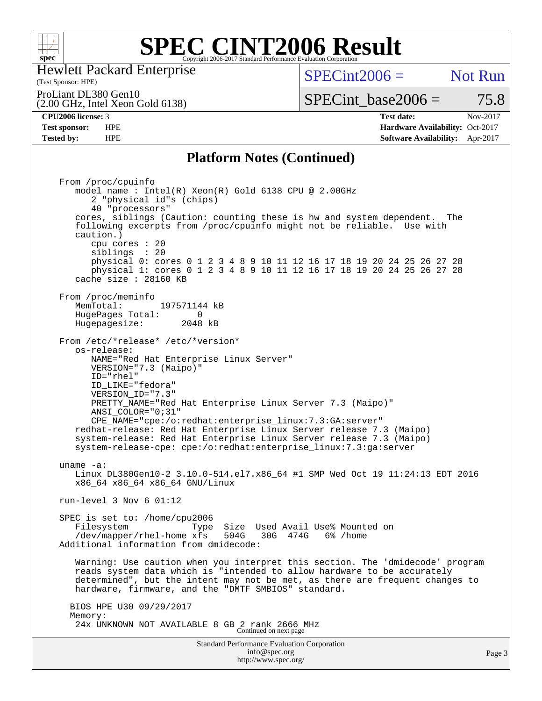

Hewlett Packard Enterprise

### (Test Sponsor: HPE)

 $SPECint2006 =$  Not Run

(2.00 GHz, Intel Xeon Gold 6138) ProLiant DL380 Gen10

# SPECint base2006 =  $75.8$

**[CPU2006 license:](http://www.spec.org/auto/cpu2006/Docs/result-fields.html#CPU2006license)** 3 **[Test date:](http://www.spec.org/auto/cpu2006/Docs/result-fields.html#Testdate)** Nov-2017 **[Test sponsor:](http://www.spec.org/auto/cpu2006/Docs/result-fields.html#Testsponsor)** HPE **[Hardware Availability:](http://www.spec.org/auto/cpu2006/Docs/result-fields.html#HardwareAvailability)** Oct-2017 **[Tested by:](http://www.spec.org/auto/cpu2006/Docs/result-fields.html#Testedby)** HPE **[Software Availability:](http://www.spec.org/auto/cpu2006/Docs/result-fields.html#SoftwareAvailability)** Apr-2017

## **[Platform Notes \(Continued\)](http://www.spec.org/auto/cpu2006/Docs/result-fields.html#PlatformNotes)**

Standard Performance Evaluation Corporation From /proc/cpuinfo model name : Intel(R) Xeon(R) Gold 6138 CPU @ 2.00GHz 2 "physical id"s (chips) 40 "processors" cores, siblings (Caution: counting these is hw and system dependent. The following excerpts from /proc/cpuinfo might not be reliable. Use with caution.) cpu cores : 20 siblings : 20 physical 0: cores 0 1 2 3 4 8 9 10 11 12 16 17 18 19 20 24 25 26 27 28 physical 1: cores 0 1 2 3 4 8 9 10 11 12 16 17 18 19 20 24 25 26 27 28 cache size : 28160 KB From /proc/meminfo MemTotal: 197571144 kB<br>HugePages Total: 0 HugePages\_Total: 0 Hugepagesize: 2048 kB From /etc/\*release\* /etc/\*version\* os-release: NAME="Red Hat Enterprise Linux Server" VERSION="7.3 (Maipo)" ID="rhel" ID\_LIKE="fedora" VERSION\_ID="7.3" PRETTY\_NAME="Red Hat Enterprise Linux Server 7.3 (Maipo)" ANSI\_COLOR="0;31" CPE\_NAME="cpe:/o:redhat:enterprise\_linux:7.3:GA:server" redhat-release: Red Hat Enterprise Linux Server release 7.3 (Maipo) system-release: Red Hat Enterprise Linux Server release 7.3 (Maipo) system-release-cpe: cpe:/o:redhat:enterprise\_linux:7.3:ga:server uname -a: Linux DL380Gen10-2 3.10.0-514.el7.x86\_64 #1 SMP Wed Oct 19 11:24:13 EDT 2016 x86\_64 x86\_64 x86\_64 GNU/Linux run-level 3 Nov 6 01:12 SPEC is set to: /home/cpu2006 Filesystem Type Size Used Avail Use% Mounted on /dev/mapper/rhel-home xfs 504G 30G 474G 6% /home Additional information from dmidecode: Warning: Use caution when you interpret this section. The 'dmidecode' program reads system data which is "intended to allow hardware to be accurately determined", but the intent may not be met, as there are frequent changes to hardware, firmware, and the "DMTF SMBIOS" standard. BIOS HPE U30 09/29/2017 Memory: 24x UNKNOWN NOT AVAILABLE 8 GB 2 rank 2666 MHz Continued on next page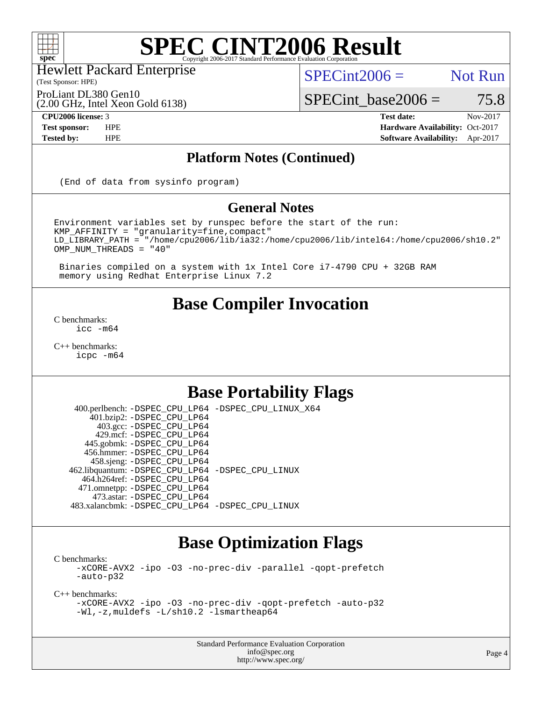

Hewlett Packard Enterprise

(Test Sponsor: HPE)

 $SPECint2006 =$  Not Run

ProLiant DL380 Gen10

(2.00 GHz, Intel Xeon Gold 6138)

 $SPECTnt\_base2006 = 75.8$ **[CPU2006 license:](http://www.spec.org/auto/cpu2006/Docs/result-fields.html#CPU2006license)** 3 **[Test date:](http://www.spec.org/auto/cpu2006/Docs/result-fields.html#Testdate)** Nov-2017

**[Test sponsor:](http://www.spec.org/auto/cpu2006/Docs/result-fields.html#Testsponsor)** HPE **[Hardware Availability:](http://www.spec.org/auto/cpu2006/Docs/result-fields.html#HardwareAvailability)** Oct-2017 **[Tested by:](http://www.spec.org/auto/cpu2006/Docs/result-fields.html#Testedby)** HPE **[Software Availability:](http://www.spec.org/auto/cpu2006/Docs/result-fields.html#SoftwareAvailability)** Apr-2017

## **[Platform Notes \(Continued\)](http://www.spec.org/auto/cpu2006/Docs/result-fields.html#PlatformNotes)**

(End of data from sysinfo program)

## **[General Notes](http://www.spec.org/auto/cpu2006/Docs/result-fields.html#GeneralNotes)**

Environment variables set by runspec before the start of the run: KMP\_AFFINITY = "granularity=fine,compact" LD\_LIBRARY\_PATH = "/home/cpu2006/lib/ia32:/home/cpu2006/lib/intel64:/home/cpu2006/sh10.2" OMP\_NUM\_THREADS = "40"

 Binaries compiled on a system with 1x Intel Core i7-4790 CPU + 32GB RAM memory using Redhat Enterprise Linux 7.2

# **[Base Compiler Invocation](http://www.spec.org/auto/cpu2006/Docs/result-fields.html#BaseCompilerInvocation)**

[C benchmarks](http://www.spec.org/auto/cpu2006/Docs/result-fields.html#Cbenchmarks): [icc -m64](http://www.spec.org/cpu2006/results/res2017q4/cpu2006-20171114-50595.flags.html#user_CCbase_intel_icc_64bit_bda6cc9af1fdbb0edc3795bac97ada53)

[C++ benchmarks:](http://www.spec.org/auto/cpu2006/Docs/result-fields.html#CXXbenchmarks) [icpc -m64](http://www.spec.org/cpu2006/results/res2017q4/cpu2006-20171114-50595.flags.html#user_CXXbase_intel_icpc_64bit_fc66a5337ce925472a5c54ad6a0de310)

# **[Base Portability Flags](http://www.spec.org/auto/cpu2006/Docs/result-fields.html#BasePortabilityFlags)**

 400.perlbench: [-DSPEC\\_CPU\\_LP64](http://www.spec.org/cpu2006/results/res2017q4/cpu2006-20171114-50595.flags.html#b400.perlbench_basePORTABILITY_DSPEC_CPU_LP64) [-DSPEC\\_CPU\\_LINUX\\_X64](http://www.spec.org/cpu2006/results/res2017q4/cpu2006-20171114-50595.flags.html#b400.perlbench_baseCPORTABILITY_DSPEC_CPU_LINUX_X64) 401.bzip2: [-DSPEC\\_CPU\\_LP64](http://www.spec.org/cpu2006/results/res2017q4/cpu2006-20171114-50595.flags.html#suite_basePORTABILITY401_bzip2_DSPEC_CPU_LP64) 403.gcc: [-DSPEC\\_CPU\\_LP64](http://www.spec.org/cpu2006/results/res2017q4/cpu2006-20171114-50595.flags.html#suite_basePORTABILITY403_gcc_DSPEC_CPU_LP64) 429.mcf: [-DSPEC\\_CPU\\_LP64](http://www.spec.org/cpu2006/results/res2017q4/cpu2006-20171114-50595.flags.html#suite_basePORTABILITY429_mcf_DSPEC_CPU_LP64) 445.gobmk: [-DSPEC\\_CPU\\_LP64](http://www.spec.org/cpu2006/results/res2017q4/cpu2006-20171114-50595.flags.html#suite_basePORTABILITY445_gobmk_DSPEC_CPU_LP64) 456.hmmer: [-DSPEC\\_CPU\\_LP64](http://www.spec.org/cpu2006/results/res2017q4/cpu2006-20171114-50595.flags.html#suite_basePORTABILITY456_hmmer_DSPEC_CPU_LP64) 458.sjeng: [-DSPEC\\_CPU\\_LP64](http://www.spec.org/cpu2006/results/res2017q4/cpu2006-20171114-50595.flags.html#suite_basePORTABILITY458_sjeng_DSPEC_CPU_LP64) 462.libquantum: [-DSPEC\\_CPU\\_LP64](http://www.spec.org/cpu2006/results/res2017q4/cpu2006-20171114-50595.flags.html#suite_basePORTABILITY462_libquantum_DSPEC_CPU_LP64) [-DSPEC\\_CPU\\_LINUX](http://www.spec.org/cpu2006/results/res2017q4/cpu2006-20171114-50595.flags.html#b462.libquantum_baseCPORTABILITY_DSPEC_CPU_LINUX) 464.h264ref: [-DSPEC\\_CPU\\_LP64](http://www.spec.org/cpu2006/results/res2017q4/cpu2006-20171114-50595.flags.html#suite_basePORTABILITY464_h264ref_DSPEC_CPU_LP64) 471.omnetpp: [-DSPEC\\_CPU\\_LP64](http://www.spec.org/cpu2006/results/res2017q4/cpu2006-20171114-50595.flags.html#suite_basePORTABILITY471_omnetpp_DSPEC_CPU_LP64) 473.astar: [-DSPEC\\_CPU\\_LP64](http://www.spec.org/cpu2006/results/res2017q4/cpu2006-20171114-50595.flags.html#suite_basePORTABILITY473_astar_DSPEC_CPU_LP64) 483.xalancbmk: [-DSPEC\\_CPU\\_LP64](http://www.spec.org/cpu2006/results/res2017q4/cpu2006-20171114-50595.flags.html#suite_basePORTABILITY483_xalancbmk_DSPEC_CPU_LP64) [-DSPEC\\_CPU\\_LINUX](http://www.spec.org/cpu2006/results/res2017q4/cpu2006-20171114-50595.flags.html#b483.xalancbmk_baseCXXPORTABILITY_DSPEC_CPU_LINUX)

# **[Base Optimization Flags](http://www.spec.org/auto/cpu2006/Docs/result-fields.html#BaseOptimizationFlags)**

[C benchmarks](http://www.spec.org/auto/cpu2006/Docs/result-fields.html#Cbenchmarks):

[-xCORE-AVX2](http://www.spec.org/cpu2006/results/res2017q4/cpu2006-20171114-50595.flags.html#user_CCbase_f-xCORE-AVX2) [-ipo](http://www.spec.org/cpu2006/results/res2017q4/cpu2006-20171114-50595.flags.html#user_CCbase_f-ipo) [-O3](http://www.spec.org/cpu2006/results/res2017q4/cpu2006-20171114-50595.flags.html#user_CCbase_f-O3) [-no-prec-div](http://www.spec.org/cpu2006/results/res2017q4/cpu2006-20171114-50595.flags.html#user_CCbase_f-no-prec-div) [-parallel](http://www.spec.org/cpu2006/results/res2017q4/cpu2006-20171114-50595.flags.html#user_CCbase_f-parallel) [-qopt-prefetch](http://www.spec.org/cpu2006/results/res2017q4/cpu2006-20171114-50595.flags.html#user_CCbase_f-qopt-prefetch) [-auto-p32](http://www.spec.org/cpu2006/results/res2017q4/cpu2006-20171114-50595.flags.html#user_CCbase_f-auto-p32)

[C++ benchmarks:](http://www.spec.org/auto/cpu2006/Docs/result-fields.html#CXXbenchmarks)

[-xCORE-AVX2](http://www.spec.org/cpu2006/results/res2017q4/cpu2006-20171114-50595.flags.html#user_CXXbase_f-xCORE-AVX2) [-ipo](http://www.spec.org/cpu2006/results/res2017q4/cpu2006-20171114-50595.flags.html#user_CXXbase_f-ipo) [-O3](http://www.spec.org/cpu2006/results/res2017q4/cpu2006-20171114-50595.flags.html#user_CXXbase_f-O3) [-no-prec-div](http://www.spec.org/cpu2006/results/res2017q4/cpu2006-20171114-50595.flags.html#user_CXXbase_f-no-prec-div) [-qopt-prefetch](http://www.spec.org/cpu2006/results/res2017q4/cpu2006-20171114-50595.flags.html#user_CXXbase_f-qopt-prefetch) [-auto-p32](http://www.spec.org/cpu2006/results/res2017q4/cpu2006-20171114-50595.flags.html#user_CXXbase_f-auto-p32) [-Wl,-z,muldefs](http://www.spec.org/cpu2006/results/res2017q4/cpu2006-20171114-50595.flags.html#user_CXXbase_link_force_multiple1_74079c344b956b9658436fd1b6dd3a8a) [-L/sh10.2 -lsmartheap64](http://www.spec.org/cpu2006/results/res2017q4/cpu2006-20171114-50595.flags.html#user_CXXbase_SmartHeap64_63911d860fc08c15fa1d5bf319b9d8d5)

> Standard Performance Evaluation Corporation [info@spec.org](mailto:info@spec.org) <http://www.spec.org/>